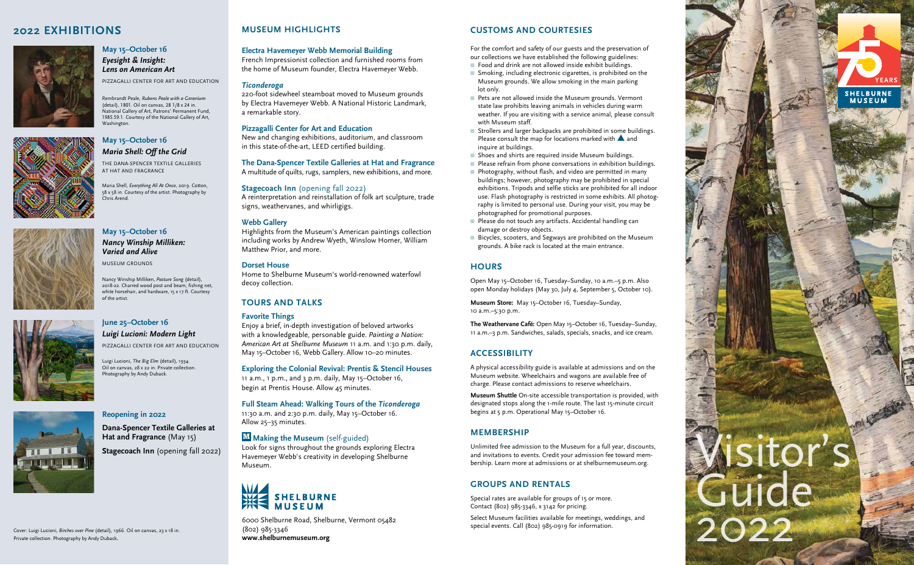## **Electra Havemeyer Webb Memorial Building**

French Impressionist collection and furnished rooms from the home of Museum founder, Electra Havemeyer Webb.

### *Ticonderoga*

220-foot sidewheel steamboat moved to Museum grounds by Electra Havemeyer Webb. A National Historic Landmark, a remarkable story.

## **Pizzagalli Center for Art and Education**

New and changing exhibitions, auditorium, and classroom in this state-of-the-art, LEED certified building.

#### **The Dana-Spencer Textile Galleries at Hat and Fragrance**

A multitude of quilts, rugs, samplers, new exhibitions, and more.

### **Stagecoach Inn** (opening fall 2022)

A reinterpretation and reinstallation of folk art sculpture, trade signs, weathervanes, and whirligigs.

## **Webb Gallery**

Highlights from the Museum's American paintings collection including works by Andrew Wyeth, Winslow Homer, William Matthew Prior, and more.

### **Dorset House**

Home to Shelburne Museum's world-renowned waterfowl decoy collection.

# **TOURS AND TALKS**

## **Favorite Things**

Enjoy a brief, in-depth investigation of beloved artworks with a knowledgeable, personable guide. *Painting a Nation: American Art at Shelburne Museum* 11 a.m. and 1:30 p.m. daily, May 15–October 16, Webb Gallery. Allow 10–20 minutes.

### **Exploring the Colonial Revival: Prentis & Stencil Houses**

11 a.m., 1 p.m., and 3 p.m. daily, May 15–October 16, begin at Prentis House. Allow 45 minutes.

## **Full Steam Ahead: Walking Tours of the** *Ticonderoga*

11:30 a.m. and 2:30 p.m. daily, May 15–October 16.

# Allow 25–35 minutes.

- $\blacksquare$  Food and drink are not allowed inside exhibit buildings.
- $\blacksquare$  Smoking, including electronic cigarettes, is prohibited on the Museum grounds. We allow smoking in the main parking lot only.
- Pets are not allowed inside the Museum grounds. Vermont state law prohibits leaving animals in vehicles during warm weather. If you are visiting with a service animal, please consult with Museum staff.
- Strollers and larger backpacks are prohibited in some buildings. Please consult the map for locations marked with  $\blacktriangle$  and inquire at buildings.
- Shoes and shirts are required inside Museum buildings.
- $\blacksquare$  Please refrain from phone conversations in exhibition buildings.
- $\blacksquare$  Photography, without flash, and video are permitted in many buildings; however, photography may be prohibited in special exhibitions. Tripods and selfie sticks are prohibited for all indoor use. Flash photography is restricted in some exhibits. All photography is limited to personal use. During your visit, you may be photographed for promotional purposes.
- Please do not touch any artifacts. Accidental handling can damage or destroy objects.
- Bicycles, scooters, and Segways are prohibited on the Museum grounds. A bike rack is located at the main entrance.

Look for signs throughout the grounds exploring Electra Havemeyer Webb's creativity in developing Shelburne Museum.



# **2022 EXHIBITIONS MUSEUM HIGHLIGHTS CUSTOMS AND COURTESIES**

For the comfort and safety of our guests and the preservation of our collections we have established the following guidelines:

Rembrandt Peale, *Rubens Peale with a Geranium*  (detail), 1801. Oil on canvas, 28 1/8 x 24 in. National Gallery of Art, Patrons' Permanent Fund, 1985.59.1. Courtesy of the National Gallery of Art, **Washington** 

Maria Shell, *Everything All At Once*, 2019. Cotton, 58 x 58 in. Courtesy of the artist. Photography by .<br>Chris Arend.



# **HOURS**

Open May 15–October 16, Tuesday–Sunday, 10 a.m.–5 p.m. Also open Monday holidays (May 30, July 4, September 5, October 10).

**Museum Store:** May 15–October 16, Tuesday–Sunday, 10 a.m.–5:30 p.m.

**The Weathervane Café:** Open May 15–October 16, Tuesday–Sunday, 11 a.m.–3 p.m. Sandwiches, salads, specials, snacks, and ice cream.

# **ACCESSIBILITY**

A physical accessibility guide is available at admissions and on the Museum website. Wheelchairs and wagons are available free of charge. Please contact admissions to reserve wheelchairs.

# **Making the Museum** (self-guided) **M**

**Museum Shuttle** On-site accessible transportation is provided, with designated stops along the 1-mile route. The last 15-minute circuit begins at 5 p.m. Operational May 15–October 16.

# **MEMBERSHIP**

Unlimited free admission to the Museum for a full year, discounts, and invitations to events. Credit your admission fee toward mem bership. Learn more at admissions or at shelburnemuseum.org.

# **GROUPS AND RENTALS**

Special rates are available for groups of 15 or more. Contact (802) 985-3346, x 3142 for pricing.

Select Museum facilities available for meetings, weddings, and

special events. Call (802) 985-0919 for information. 6000 Shelburne Road, Shelburne, Vermont 05482 (802) 985-3346 **www.shelburnemuseum.org**



## **May 15–October 16**

*Eyesight*  **&** *Insight: Lens on American Art*

PIZZAGALLI CENTER FOR ART AND EDUCATION



THE DANA-SPENCER TEXTILE GALLERIES AT HAT AND FRAGRANCE

# **May 15–October 16** *Nancy Winship Milliken: Varied and Alive*

MUSEUM GROUNDS

# **June 25–October 16** *Luigi Lucioni: Modern Light*

PIZZAGALLI CENTER FOR ART AND EDUCATION

## **Reopening in 2022**

**Dana-Spencer Textile Galleries at Hat and Fragrance** (May 15) **Stagecoach Inn** (opening fall 2022)

Nancy Winship Milliken, *Pasture Song* (detail), 2018-22. Charred wood post and beam, fishing net, white horsehair, and hardware, 15 x 17 ft. Courtesy of the artist.



Luigi Lucioni, *The Big Elm* (detail), 1934. Oil on canvas, 28 x 22 in. Private collection. Photography by Andy Duback.





Cover: Luigi Lucioni, *Birches over Pine* (detail), 1966. Oil on canvas, 23 x 18 in. Private collection. Photography by Andy Duback .